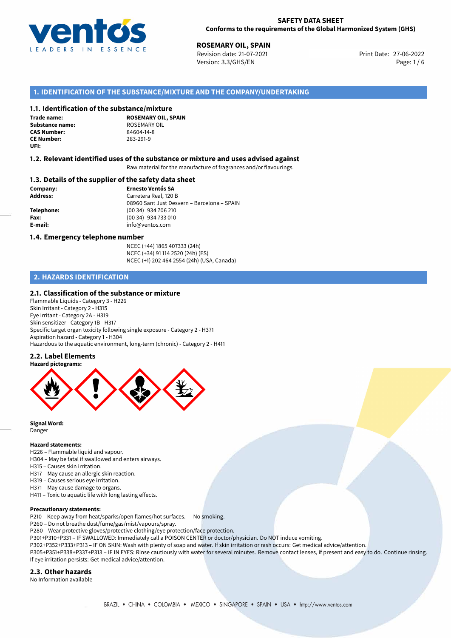

27-06-2022 **ROSEMARY OIL, SPAIN** Revision date: 21-07-2021 Print Date: Version: 3.3/GHS/EN Page: 1 / 6

## **1. IDENTIFICATION OF THE SUBSTANCE/MIXTURE AND THE COMPANY/UNDERTAKING**

#### **1.1. Identification of the substance/mixture**

**Trade name: Substance name:** ROSEMARY OIL<br> **CAS Number:** 84604-14-8 **CAS Number: CE Number:** 283-291-9 **UFI:**

**ROSEMARY OIL, SPAIN**

## **1.2. Relevant identified uses of the substance or mixture and uses advised against**

Raw material for the manufacture of fragrances and/or flavourings.

#### **1.3. Details of the supplier of the safety data sheet**

**Company: Ernesto Ventós SA Address:** Carretera Real, 120 B 08960 Sant Just Desvern – Barcelona – SPAIN **Telephone:** (00 34) 934 706 210 **Fax:** (00 34) 934 733 010 **E-mail:** info@ventos.com

#### **1.4. Emergency telephone number**

NCEC (+44) 1865 407333 (24h) NCEC (+34) 91 114 2520 (24h) (ES) NCEC (+1) 202 464 2554 (24h) (USA, Canada)

## **2. HAZARDS IDENTIFICATION**

### **2.1. Classification of the substance or mixture**

Flammable Liquids - Category 3 - H226 Skin Irritant - Category 2 - H315 Eye Irritant - Category 2A - H319 Skin sensitizer - Category 1B - H317 Specific target organ toxicity following single exposure - Category 2 - H371 Aspiration hazard - Category 1 - H304 Hazardous to the aquatic environment, long-term (chronic) - Category 2 - H411

#### **2.2. Label Elements**



**Signal Word:** Danger

#### **Hazard statements:**

H226 – Flammable liquid and vapour.

- H304 May be fatal if swallowed and enters airways.
- H315 Causes skin irritation.
- H317 May cause an allergic skin reaction.
- H319 Causes serious eye irritation.
- H371 May cause damage to organs.
- H411 Toxic to aquatic life with long lasting effects.

#### **Precautionary statements:**

- P210 Keep away from heat/sparks/open flames/hot surfaces. No smoking.
- P260 Do not breathe dust/fume/gas/mist/vapours/spray.
- P280 Wear protective gloves/protective clothing/eye protection/face protection.
- P301+P310+P331 IF SWALLOWED: Immediately call a POISON CENTER or doctor/physician. Do NOT induce vomiting.

P302+P352+P333+P313 – IF ON SKIN: Wash with plenty of soap and water. If skin irritation or rash occurs: Get medical advice/attention. P305+P351+P338+P337+P313 – IF IN EYES: Rinse cautiously with water for several minutes. Remove contact lenses, if present and easy to do. Continue rinsing. If eye irritation persists: Get medical advice/attention.

## **2.3. Other hazards**

No Information available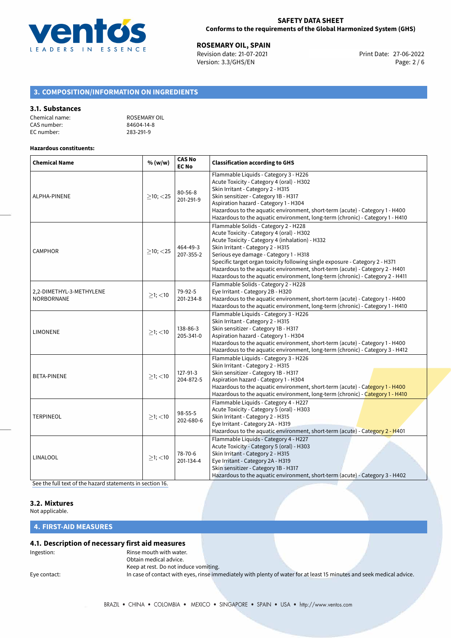

**ROSEMARY OIL, SPAIN**<br>
Revision date: 21-07-2021<br> **Print Date: 27-06-2022** Revision date: 21-07-2021 Version: 3.3/GHS/EN Page: 2 / 6

# **3. COMPOSITION/INFORMATION ON INGREDIENTS**

## **3.1. Substances**

| Chemical name: | ROSEMARY OIL |
|----------------|--------------|
| CAS number:    | 84604-14-8   |
| EC number:     | 283-291-9    |

#### **Hazardous constituents:**

| <b>Chemical Name</b>                          | % (w/w)        | <b>CAS No</b><br><b>EC No</b> | <b>Classification according to GHS</b>                                                                                                                                                                                                                                                                                                                                                                                                                               |  |
|-----------------------------------------------|----------------|-------------------------------|----------------------------------------------------------------------------------------------------------------------------------------------------------------------------------------------------------------------------------------------------------------------------------------------------------------------------------------------------------------------------------------------------------------------------------------------------------------------|--|
| ALPHA-PINENE                                  | $>10$ ; $<$ 25 | $80 - 56 - 8$<br>201-291-9    | Flammable Liquids - Category 3 - H226<br>Acute Toxicity - Category 4 (oral) - H302<br>Skin Irritant - Category 2 - H315<br>Skin sensitizer - Category 1B - H317<br>Aspiration hazard - Category 1 - H304<br>Hazardous to the aquatic environment, short-term (acute) - Category 1 - H400<br>Hazardous to the aquatic environment, long-term (chronic) - Category 1 - H410                                                                                            |  |
| <b>CAMPHOR</b>                                | $\geq$ 10; <25 | 464-49-3<br>207-355-2         | Flammable Solids - Category 2 - H228<br>Acute Toxicity - Category 4 (oral) - H302<br>Acute Toxicity - Category 4 (inhalation) - H332<br>Skin Irritant - Category 2 - H315<br>Serious eye damage - Category 1 - H318<br>Specific target organ toxicity following single exposure - Category 2 - H371<br>Hazardous to the aquatic environment, short-term (acute) - Category 2 - H401<br>Hazardous to the aquatic environment, long-term (chronic) - Category 2 - H411 |  |
| 2,2-DIMETHYL-3-METHYLENE<br><b>NORBORNANE</b> | $\geq$ 1; <10  | 79-92-5<br>201-234-8          | Flammable Solids - Category 2 - H228<br>Eye Irritant - Category 2B - H320<br>Hazardous to the aquatic environment, short-term (acute) - Category 1 - H400<br>Hazardous to the aquatic environment, long-term (chronic) - Category 1 - H410                                                                                                                                                                                                                           |  |
| <b>LIMONENE</b>                               | $>1$ ; <10     | 138-86-3<br>205-341-0         | Flammable Liquids - Category 3 - H226<br>Skin Irritant - Category 2 - H315<br>Skin sensitizer - Category 1B - H317<br>Aspiration hazard - Category 1 - H304<br>Hazardous to the aquatic environment, short-term (acute) - Category 1 - H400<br>Hazardous to the aquatic environment, long-term (chronic) - Category 3 - H412                                                                                                                                         |  |
| <b>BETA-PINENE</b>                            | $>1$ ; <10     | 127-91-3<br>204-872-5         | Flammable Liquids - Category 3 - H226<br>Skin Irritant - Category 2 - H315<br>Skin sensitizer - Category 1B - H317<br>Aspiration hazard - Category 1 - H304<br>Hazardous to the aquatic environment, short-term (acute) - Category 1 - H400<br>Hazardous to the aquatic environment, long-term (chronic) - Category 1 - H410                                                                                                                                         |  |
| <b>TERPINEOL</b>                              | $\geq$ 1; <10  | 98-55-5<br>202-680-6          | Flammable Liquids - Category 4 - H227<br>Acute Toxicity - Category 5 (oral) - H303<br>Skin Irritant - Category 2 - H315<br>Eye Irritant - Category 2A - H319<br>Hazardous to the aquatic environment, short-term (acute) - Category 2 - H401                                                                                                                                                                                                                         |  |
| LINALOOL                                      | $\geq$ 1; <10  | 78-70-6<br>201-134-4          | Flammable Liquids - Category 4 - H227<br>Acute Toxicity - Category 5 (oral) - H303<br>Skin Irritant - Category 2 - H315<br>Eye Irritant - Category 2A - H319<br>Skin sensitizer - Category 1B - H317<br>Hazardous to the aquatic environment, short-term (acute) - Category 3 - H402                                                                                                                                                                                 |  |

[See the full text of the hazard statements in section 16.](#page-4-0)

### **3.2. Mixtures**

Not applicable.

## **4. FIRST-AID MEASURES**

## **4.1. Description of necessary first aid measures**

Ingestion: The mouth with water. Obtain medical advice.

Keep at rest. Do not induce vomiting. Eye contact: In case of contact with eyes, rinse immediately with plenty of water for at least 15 minutes and seek medical advice.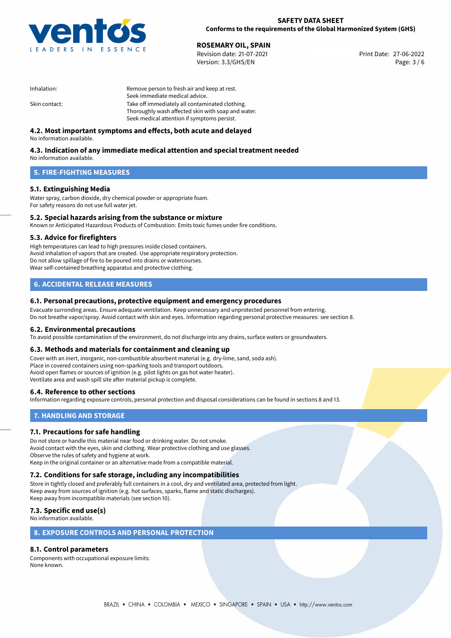

27-06-2022 **ROSEMARY OIL, SPAIN** Revision date: 21-07-2021 Print Date: Version: 3.3/GHS/EN Page: 3 / 6

| Inhalation:   | Remove person to fresh air and keep at rest.       |  |
|---------------|----------------------------------------------------|--|
|               | Seek immediate medical advice.                     |  |
| Skin contact: | Take off immediately all contaminated clothing.    |  |
|               | Thoroughly wash affected skin with soap and water. |  |
|               | Seek medical attention if symptoms persist.        |  |

## **4.2. Most important symptoms and effects, both acute and delayed**

No information available.

# **4.3. Indication of any immediate medical attention and special treatment needed**

No information available.

## **5. FIRE-FIGHTING MEASURES**

## **5.1. Extinguishing Media**

Water spray, carbon dioxide, dry chemical powder or appropriate foam. For safety reasons do not use full water jet.

# **5.2. Special hazards arising from the substance or mixture**

Known or Anticipated Hazardous Products of Combustion: Emits toxic fumes under fire conditions.

### **5.3. Advice for firefighters**

High temperatures can lead to high pressures inside closed containers. Avoid inhalation of vapors that are created. Use appropriate respiratory protection. Do not allow spillage of fire to be poured into drains or watercourses. Wear self-contained breathing apparatus and protective clothing.

## **6. ACCIDENTAL RELEASE MEASURES**

### **6.1. Personal precautions, protective equipment and emergency procedures**

Evacuate surronding areas. Ensure adequate ventilation. Keep unnecessary and unprotected personnel from entering. Do not breathe vapor/spray. Avoid contact with skin and eyes. Information regarding personal protective measures: see section 8.

#### **6.2. Environmental precautions**

To avoid possible contamination of the environment, do not discharge into any drains, surface waters or groundwaters.

#### **6.3. Methods and materials for containment and cleaning up**

Cover with an inert, inorganic, non-combustible absorbent material (e.g. dry-lime, sand, soda ash). Place in covered containers using non-sparking tools and transport outdoors. Avoid open flames or sources of ignition (e.g. pilot lights on gas hot water heater). Ventilate area and wash spill site after material pickup is complete.

### **6.4. Reference to other sections**

Information regarding exposure controls, personal protection and disposal considerations can be found in sections 8 and 13.

## **7. HANDLING AND STORAGE**

### **7.1. Precautions for safe handling**

Do not store or handle this material near food or drinking water. Do not smoke. Avoid contact with the eyes, skin and clothing. Wear protective clothing and use glasses. Observe the rules of safety and hygiene at work. Keep in the original container or an alternative made from a compatible material.

# **7.2. Conditions for safe storage, including any incompatibilities**

Store in tightly closed and preferably full containers in a cool, dry and ventilated area, protected from light. Keep away from sources of ignition (e.g. hot surfaces, sparks, flame and static discharges). Keep away from incompatible materials (see section 10).

## **7.3. Specific end use(s)**

No information available.

## **8. EXPOSURE CONTROLS AND PERSONAL PROTECTION**

# **8.1. Control parameters**

Components with occupational exposure limits: None known.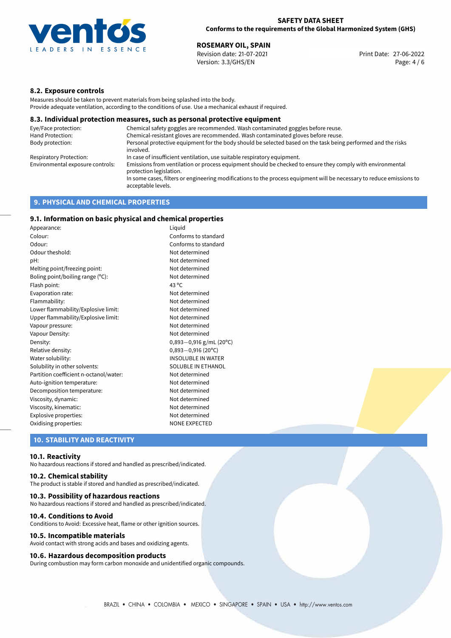

27-06-2022 **ROSEMARY OIL, SPAIN** Revision date: 21-07-2021 Print Date: Version: 3.3/GHS/EN Page: 4 / 6

## **8.2. Exposure controls**

Measures should be taken to prevent materials from being splashed into the body. Provide adequate ventilation, according to the conditions of use. Use a mechanical exhaust if required.

#### **8.3. Individual protection measures, such as personal protective equipment**

| Eye/Face protection:             | Chemical safety goggles are recommended. Wash contaminated goggles before reuse.                                                            |
|----------------------------------|---------------------------------------------------------------------------------------------------------------------------------------------|
| Hand Protection:                 | Chemical-resistant gloves are recommended. Wash contaminated gloves before reuse.                                                           |
| Body protection:                 | Personal protective equipment for the body should be selected based on the task being performed and the risks<br>involved.                  |
| Respiratory Protection:          | In case of insufficient ventilation, use suitable respiratory equipment.                                                                    |
| Environmental exposure controls: | Emissions from ventilation or process equipment should be checked to ensure they comply with environmental<br>protection legislation.       |
|                                  | In some cases, filters or engineering modifications to the process equipment will be necessary to reduce emissions to<br>acceptable levels. |
|                                  |                                                                                                                                             |

## **9. PHYSICAL AND CHEMICAL PROPERTIES**

## **9.1. Information on basic physical and chemical properties**

| Appearance:                            | Liguid                      |  |
|----------------------------------------|-----------------------------|--|
| Colour:                                | Conforms to standard        |  |
| Odour:                                 | Conforms to standard        |  |
| Odour theshold:                        | Not determined              |  |
| pH:                                    | Not determined              |  |
| Melting point/freezing point:          | Not determined              |  |
| Boling point/boiling range (°C):       | Not determined              |  |
| Flash point:                           | 43 $^{\circ}$ C             |  |
| Evaporation rate:                      | Not determined              |  |
| Flammability:                          | Not determined              |  |
| Lower flammability/Explosive limit:    | Not determined              |  |
| Upper flammability/Explosive limit:    | Not determined              |  |
| Vapour pressure:                       | Not determined              |  |
| Vapour Density:                        | Not determined              |  |
| Density:                               | $0,893 - 0,916$ g/mL (20°C) |  |
| Relative density:                      | $0,893 - 0,916$ (20°C)      |  |
| Water solubility:                      | <b>INSOLUBLE IN WATER</b>   |  |
| Solubility in other solvents:          | SOLUBLE IN ETHANOL          |  |
| Partition coefficient n-octanol/water: | Not determined              |  |
| Auto-ignition temperature:             | Not determined              |  |
| Decomposition temperature:             | Not determined              |  |
| Viscosity, dynamic:                    | Not determined              |  |
| Viscosity, kinematic:                  | Not determined              |  |
| Explosive properties:                  | Not determined              |  |
| Oxidising properties:                  | <b>NONE EXPECTED</b>        |  |

## **10. STABILITY AND REACTIVITY**

#### **10.1. Reactivity**

No hazardous reactions if stored and handled as prescribed/indicated.

## **10.2. Chemical stability**

The product is stable if stored and handled as prescribed/indicated.

#### **10.3. Possibility of hazardous reactions**

No hazardous reactions if stored and handled as prescribed/indicated.

#### **10.4. Conditions to Avoid**

Conditions to Avoid: Excessive heat, flame or other ignition sources.

#### **10.5. Incompatible materials**

Avoid contact with strong acids and bases and oxidizing agents.

#### **10.6. Hazardous decomposition products**

During combustion may form carbon monoxide and unidentified organic compounds.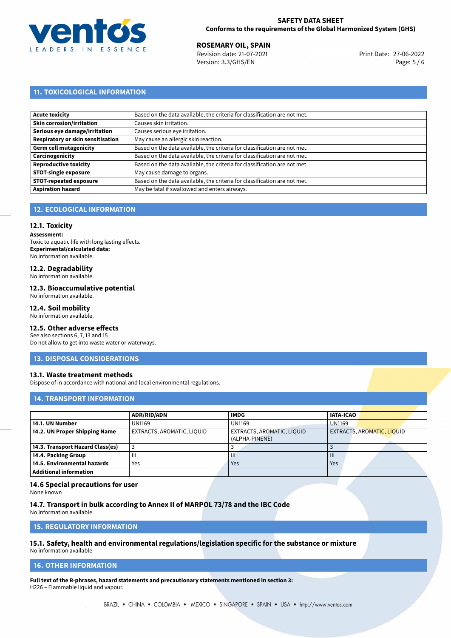

27-06-2022 **ROSEMARY OIL, SPAIN** Revision date: 21-07-2021 Print Date: Version: 3.3/GHS/EN Page: 5 / 6

# **11. TOXICOLOGICAL INFORMATION**

| <b>Acute toxicity</b>             | Based on the data available, the criteria for classification are not met. |
|-----------------------------------|---------------------------------------------------------------------------|
| Skin corrosion/irritation         | Causes skin irritation.                                                   |
| Serious eye damage/irritation     | Causes serious eye irritation.                                            |
| Respiratory or skin sensitisation | May cause an allergic skin reaction.                                      |
| Germ cell mutagenicity            | Based on the data available, the criteria for classification are not met. |
| Carcinogenicity                   | Based on the data available, the criteria for classification are not met. |
| Reproductive toxicity             | Based on the data available, the criteria for classification are not met. |
| <b>STOT-single exposure</b>       | May cause damage to organs.                                               |
| <b>STOT-repeated exposure</b>     | Based on the data available, the criteria for classification are not met. |
| <b>Aspiration hazard</b>          | May be fatal if swallowed and enters airways.                             |

## **12. ECOLOGICAL INFORMATION**

#### **12.1. Toxicity**

**Assessment:** Toxic to aquatic life with long lasting effects. **Experimental/calculated data:** No information available.

## **12.2. Degradability**

No information available.

#### **12.3. Bioaccumulative potential**

No information available.

### **12.4. Soil mobility**

No information available.

# **12.5. Other adverse effects**

See also sections 6, 7, 13 and 15 Do not allow to get into waste water or waterways.

#### **13. DISPOSAL CONSIDERATIONS**

#### **13.1. Waste treatment methods**

Dispose of in accordance with national and local environmental regulations.

## **14. TRANSPORT INFORMATION**

|                                  | <b>ADR/RID/ADN</b>         | <b>IMDG</b>                                  | <b>IATA-ICAO</b>                  |
|----------------------------------|----------------------------|----------------------------------------------|-----------------------------------|
| 14.1. UN Number                  | <b>UN1169</b>              | <b>UN1169</b>                                | <b>UN1169</b>                     |
| 14.2. UN Proper Shipping Name    | EXTRACTS, AROMATIC, LIQUID | EXTRACTS, AROMATIC, LIQUID<br>(ALPHA-PINENE) | <b>EXTRACTS, AROMATIC, LIQUID</b> |
| 14.3. Transport Hazard Class(es) |                            |                                              |                                   |
| 14.4. Packing Group              | Ш                          | Ш                                            | $\mathbf{III}$                    |
| 14.5. Environmental hazards      | Yes                        | Yes                                          | Yes                               |
| <b>Additional information</b>    |                            |                                              |                                   |

#### **14.6 Special precautions for user**

None known

**14.7. Transport in bulk according to Annex II of MARPOL 73/78 and the IBC Code** No information available

**15. REGULATORY INFORMATION**

# **15.1. Safety, health and environmental regulations/legislation specific for the substance or mixture**

No information available

### <span id="page-4-0"></span>**16. OTHER INFORMATION**

**Full text of the R-phrases, hazard statements and precautionary statements mentioned in section 3:** H226 – Flammable liquid and vapour.